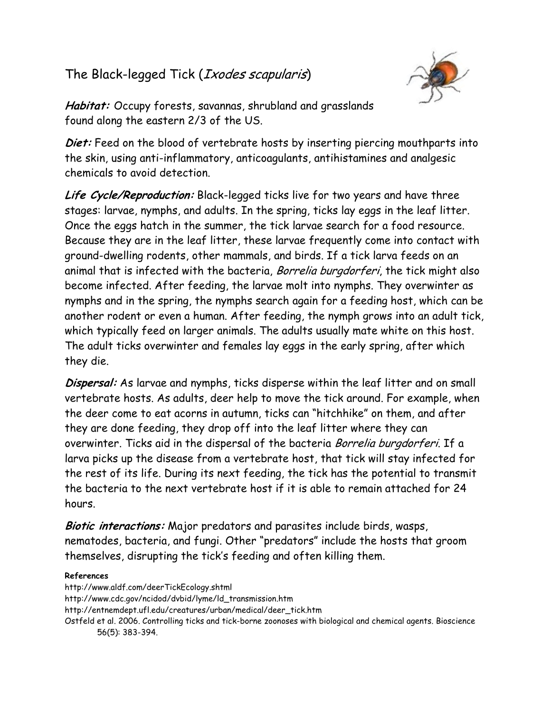## The Black-legged Tick (*Ixodes scapularis*)



Habitat: Occupy forests, savannas, shrubland and grasslands found along the eastern 2/3 of the US.

Diet: Feed on the blood of vertebrate hosts by inserting piercing mouthparts into the skin, using anti-inflammatory, anticoagulants, antihistamines and analgesic chemicals to avoid detection.

Life Cycle/Reproduction: Black-legged ticks live for two years and have three stages: larvae, nymphs, and adults. In the spring, ticks lay eggs in the leaf litter. Once the eggs hatch in the summer, the tick larvae search for a food resource. Because they are in the leaf litter, these larvae frequently come into contact with ground-dwelling rodents, other mammals, and birds. If a tick larva feeds on an animal that is infected with the bacteria, Borrelia burgdorferi, the tick might also become infected. After feeding, the larvae molt into nymphs. They overwinter as nymphs and in the spring, the nymphs search again for a feeding host, which can be another rodent or even a human. After feeding, the nymph grows into an adult tick, which typically feed on larger animals. The adults usually mate white on this host. The adult ticks overwinter and females lay eggs in the early spring, after which they die.

Dispersal: As larvae and nymphs, ticks disperse within the leaf litter and on small vertebrate hosts. As adults, deer help to move the tick around. For example, when the deer come to eat acorns in autumn, ticks can "hitchhike" on them, and after they are done feeding, they drop off into the leaf litter where they can overwinter. Ticks aid in the dispersal of the bacteria Borrelia burgdorferi. If a larva picks up the disease from a vertebrate host, that tick will stay infected for the rest of its life. During its next feeding, the tick has the potential to transmit the bacteria to the next vertebrate host if it is able to remain attached for 24 hours.

Biotic interactions: Major predators and parasites include birds, wasps, nematodes, bacteria, and fungi. Other "predators" include the hosts that groom themselves, disrupting the tick's feeding and often killing them.

## References

http://www.aldf.com/deerTickEcology.shtml http://www.cdc.gov/ncidod/dvbid/lyme/ld\_transmission.htm http://entnemdept.ufl.edu/creatures/urban/medical/deer\_tick.htm Ostfeld et al. 2006. Controlling ticks and tick-borne zoonoses with biological and chemical agents. Bioscience 56(5): 383-394.